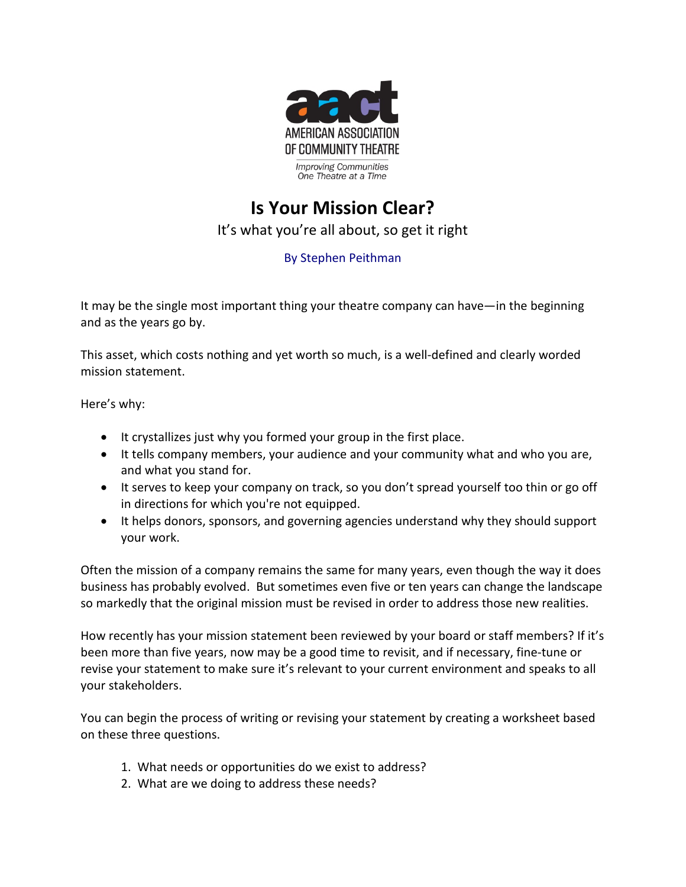

## **Is Your Mission Clear?** It's what you're all about, so get it right

## By Stephen Peithman

It may be the single most important thing your theatre company can have—in the beginning and as the years go by.

This asset, which costs nothing and yet worth so much, is a well-defined and clearly worded mission statement.

Here's why:

- It crystallizes just why you formed your group in the first place.
- It tells company members, your audience and your community what and who you are, and what you stand for.
- It serves to keep your company on track, so you don't spread yourself too thin or go off in directions for which you're not equipped.
- It helps donors, sponsors, and governing agencies understand why they should support your work.

Often the mission of a company remains the same for many years, even though the way it does business has probably evolved. But sometimes even five or ten years can change the landscape so markedly that the original mission must be revised in order to address those new realities.

How recently has your mission statement been reviewed by your board or staff members? If it's been more than five years, now may be a good time to revisit, and if necessary, fine-tune or revise your statement to make sure it's relevant to your current environment and speaks to all your stakeholders.

You can begin the process of writing or revising your statement by creating a worksheet based on these three questions.

- 1. What needs or opportunities do we exist to address?
- 2. What are we doing to address these needs?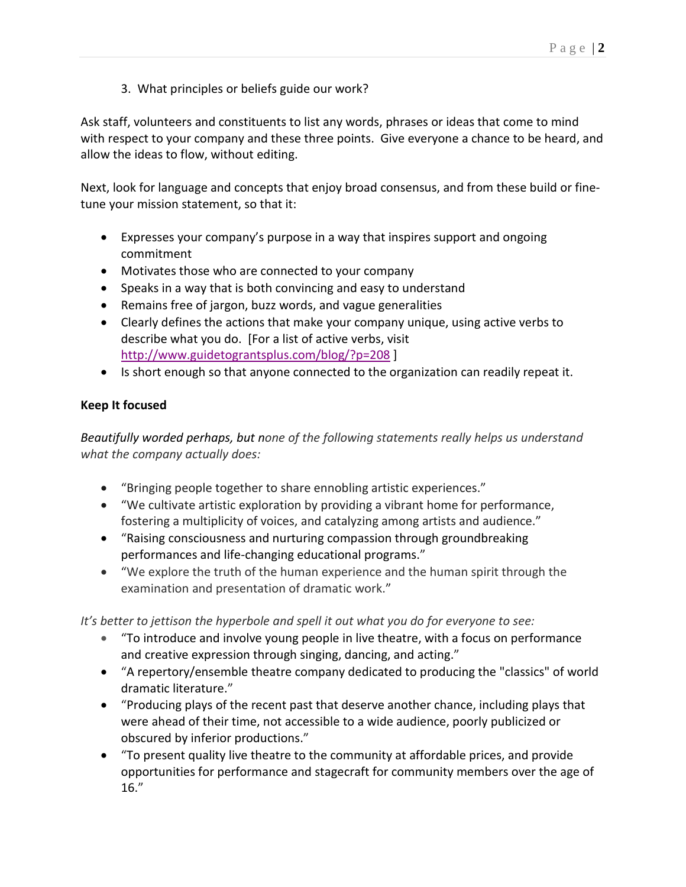3. What principles or beliefs guide our work?

Ask staff, volunteers and constituents to list any words, phrases or ideas that come to mind with respect to your company and these three points. Give everyone a chance to be heard, and allow the ideas to flow, without editing.

Next, look for language and concepts that enjoy broad consensus, and from these build or finetune your mission statement, so that it:

- Expresses your company's purpose in a way that inspires support and ongoing commitment
- Motivates those who are connected to your company
- Speaks in a way that is both convincing and easy to understand
- Remains free of jargon, buzz words, and vague generalities
- Clearly defines the actions that make your company unique, using active verbs to describe what you do. [For a list of active verbs, visit <http://www.guidetograntsplus.com/blog/?p=208> ]
- Is short enough so that anyone connected to the organization can readily repeat it.

## **Keep It focused**

*Beautifully worded perhaps, but none of the following statements really helps us understand what the company actually does:*

- "Bringing people together to share ennobling artistic experiences."
- "We cultivate artistic exploration by providing a vibrant home for performance, fostering a multiplicity of voices, and catalyzing among artists and audience."
- "Raising consciousness and nurturing compassion through groundbreaking performances and life-changing educational programs."
- "We explore the truth of the human experience and the human spirit through the examination and presentation of dramatic work."

*It's better to jettison the hyperbole and spell it out what you do for everyone to see:*

- "To introduce and involve young people in live theatre, with a focus on performance and creative expression through singing, dancing, and acting."
- "A repertory/ensemble theatre company dedicated to producing the "classics" of world dramatic literature."
- "Producing plays of the recent past that deserve another chance, including plays that were ahead of their time, not accessible to a wide audience, poorly publicized or obscured by inferior productions."
- "To present quality live theatre to the community at affordable prices, and provide opportunities for performance and stagecraft for community members over the age of 16."